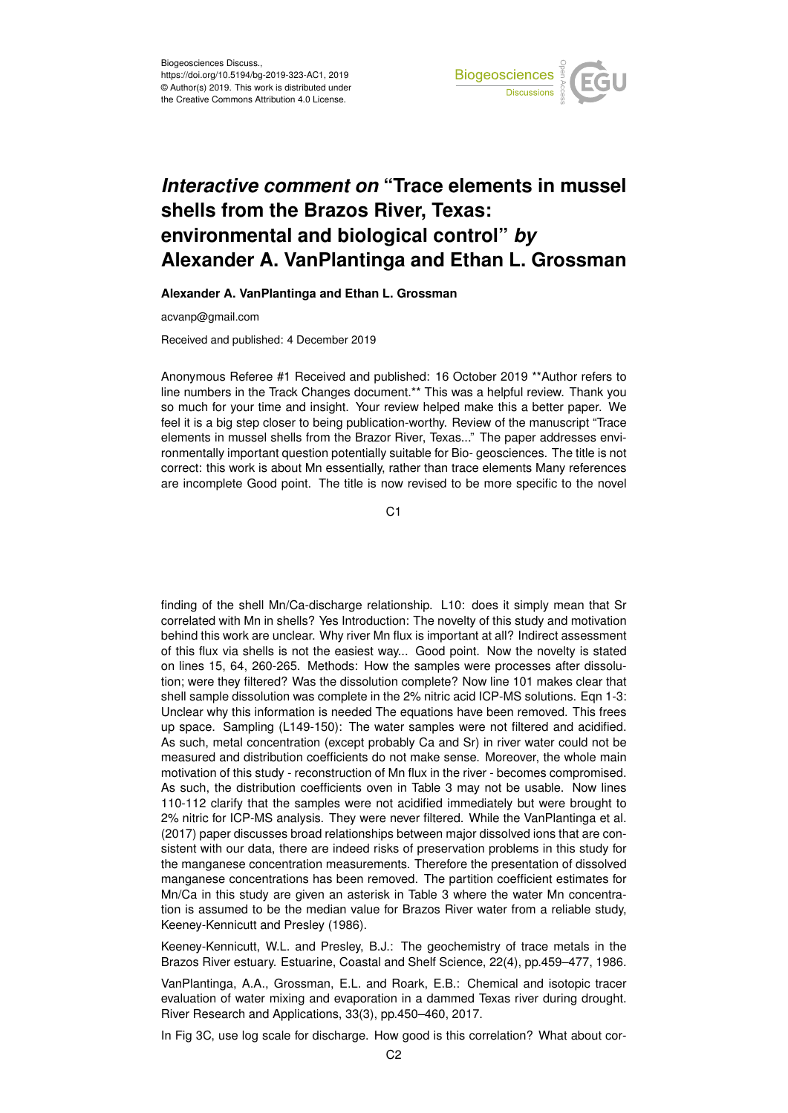

## *Interactive comment on* **"Trace elements in mussel shells from the Brazos River, Texas: environmental and biological control"** *by* **Alexander A. VanPlantinga and Ethan L. Grossman**

**Alexander A. VanPlantinga and Ethan L. Grossman**

acvanp@gmail.com

Received and published: 4 December 2019

Anonymous Referee #1 Received and published: 16 October 2019 \*\*Author refers to line numbers in the Track Changes document.\*\* This was a helpful review. Thank you so much for your time and insight. Your review helped make this a better paper. We feel it is a big step closer to being publication-worthy. Review of the manuscript "Trace elements in mussel shells from the Brazor River, Texas..." The paper addresses environmentally important question potentially suitable for Bio- geosciences. The title is not correct: this work is about Mn essentially, rather than trace elements Many references are incomplete Good point. The title is now revised to be more specific to the novel

 $C<sub>1</sub>$ 

finding of the shell Mn/Ca-discharge relationship. L10: does it simply mean that Sr correlated with Mn in shells? Yes Introduction: The novelty of this study and motivation behind this work are unclear. Why river Mn flux is important at all? Indirect assessment of this flux via shells is not the easiest way... Good point. Now the novelty is stated on lines 15, 64, 260-265. Methods: How the samples were processes after dissolution; were they filtered? Was the dissolution complete? Now line 101 makes clear that shell sample dissolution was complete in the 2% nitric acid ICP-MS solutions. Eqn 1-3: Unclear why this information is needed The equations have been removed. This frees up space. Sampling (L149-150): The water samples were not filtered and acidified. As such, metal concentration (except probably Ca and Sr) in river water could not be measured and distribution coefficients do not make sense. Moreover, the whole main motivation of this study - reconstruction of Mn flux in the river - becomes compromised. As such, the distribution coefficients oven in Table 3 may not be usable. Now lines 110-112 clarify that the samples were not acidified immediately but were brought to 2% nitric for ICP-MS analysis. They were never filtered. While the VanPlantinga et al. (2017) paper discusses broad relationships between major dissolved ions that are consistent with our data, there are indeed risks of preservation problems in this study for the manganese concentration measurements. Therefore the presentation of dissolved manganese concentrations has been removed. The partition coefficient estimates for Mn/Ca in this study are given an asterisk in Table 3 where the water Mn concentration is assumed to be the median value for Brazos River water from a reliable study, Keeney-Kennicutt and Presley (1986).

Keeney-Kennicutt, W.L. and Presley, B.J.: The geochemistry of trace metals in the Brazos River estuary. Estuarine, Coastal and Shelf Science, 22(4), pp.459–477, 1986.

VanPlantinga, A.A., Grossman, E.L. and Roark, E.B.: Chemical and isotopic tracer evaluation of water mixing and evaporation in a dammed Texas river during drought. River Research and Applications, 33(3), pp.450–460, 2017.

In Fig 3C, use log scale for discharge. How good is this correlation? What about cor-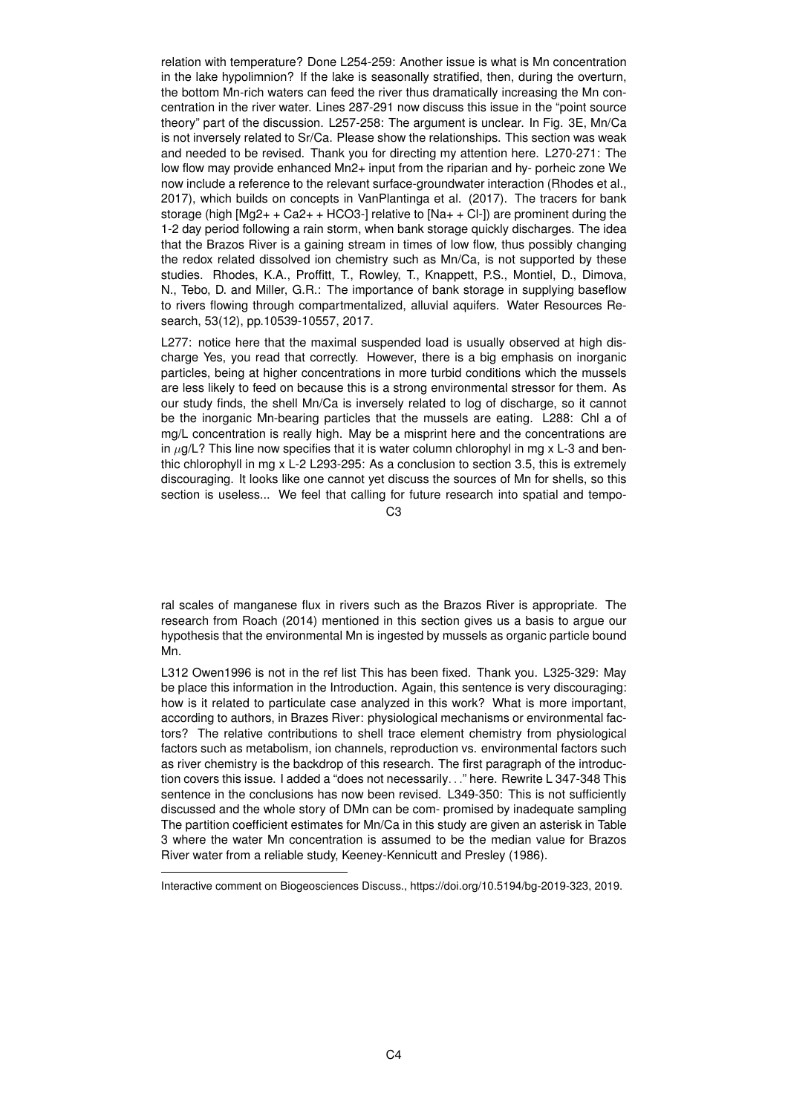relation with temperature? Done L254-259: Another issue is what is Mn concentration in the lake hypolimnion? If the lake is seasonally stratified, then, during the overturn, the bottom Mn-rich waters can feed the river thus dramatically increasing the Mn concentration in the river water. Lines 287-291 now discuss this issue in the "point source theory" part of the discussion. L257-258: The argument is unclear. In Fig. 3E, Mn/Ca is not inversely related to Sr/Ca. Please show the relationships. This section was weak and needed to be revised. Thank you for directing my attention here. L270-271: The low flow may provide enhanced Mn2+ input from the riparian and hy- porheic zone We now include a reference to the relevant surface-groundwater interaction (Rhodes et al., 2017), which builds on concepts in VanPlantinga et al. (2017). The tracers for bank storage (high  $[Mg2++Ca2++HCO3-]$  relative to  $[Na++Cl^-]$ ) are prominent during the 1-2 day period following a rain storm, when bank storage quickly discharges. The idea that the Brazos River is a gaining stream in times of low flow, thus possibly changing the redox related dissolved ion chemistry such as Mn/Ca, is not supported by these studies. Rhodes, K.A., Proffitt, T., Rowley, T., Knappett, P.S., Montiel, D., Dimova, N., Tebo, D. and Miller, G.R.: The importance of bank storage in supplying baseflow to rivers flowing through compartmentalized, alluvial aquifers. Water Resources Research, 53(12), pp.10539-10557, 2017.

L277: notice here that the maximal suspended load is usually observed at high discharge Yes, you read that correctly. However, there is a big emphasis on inorganic particles, being at higher concentrations in more turbid conditions which the mussels are less likely to feed on because this is a strong environmental stressor for them. As our study finds, the shell Mn/Ca is inversely related to log of discharge, so it cannot be the inorganic Mn-bearing particles that the mussels are eating. L288: Chl a of mg/L concentration is really high. May be a misprint here and the concentrations are in  $\mu$ g/L? This line now specifies that it is water column chlorophyl in mg x L-3 and benthic chlorophyll in mg x L-2 L293-295: As a conclusion to section 3.5, this is extremely discouraging. It looks like one cannot yet discuss the sources of Mn for shells, so this section is useless... We feel that calling for future research into spatial and tempo-

C3

ral scales of manganese flux in rivers such as the Brazos River is appropriate. The research from Roach (2014) mentioned in this section gives us a basis to argue our hypothesis that the environmental Mn is ingested by mussels as organic particle bound Mn.

L312 Owen1996 is not in the ref list This has been fixed. Thank you. L325-329: May be place this information in the Introduction. Again, this sentence is very discouraging: how is it related to particulate case analyzed in this work? What is more important, according to authors, in Brazes River: physiological mechanisms or environmental factors? The relative contributions to shell trace element chemistry from physiological factors such as metabolism, ion channels, reproduction vs. environmental factors such as river chemistry is the backdrop of this research. The first paragraph of the introduction covers this issue. I added a "does not necessarily. . ." here. Rewrite L 347-348 This sentence in the conclusions has now been revised. L349-350: This is not sufficiently discussed and the whole story of DMn can be com- promised by inadequate sampling The partition coefficient estimates for Mn/Ca in this study are given an asterisk in Table 3 where the water Mn concentration is assumed to be the median value for Brazos River water from a reliable study, Keeney-Kennicutt and Presley (1986).

Interactive comment on Biogeosciences Discuss., https://doi.org/10.5194/bg-2019-323, 2019.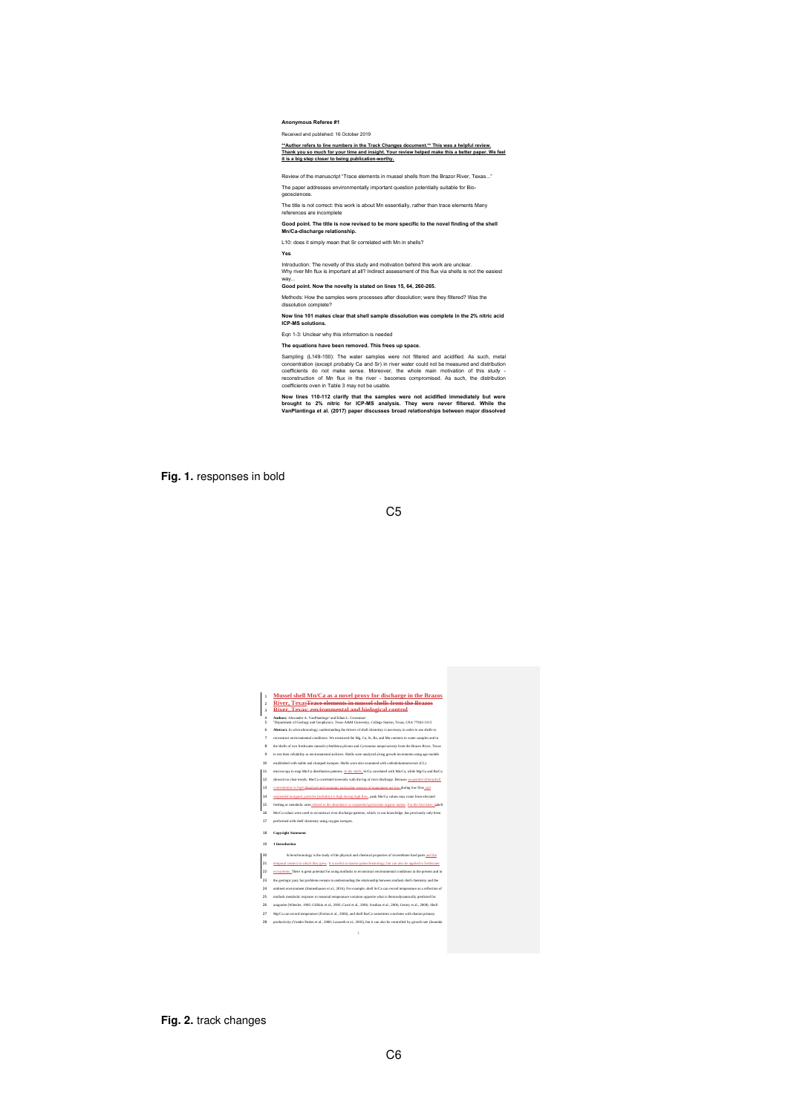**Anonymous Referee #1**

Received and published: 16 October 2019

\*\*Author refers to line numbers in the Track Changes document.\*\* This was a helpful review.<br>Thank you so much for your time and insight. Your review helped make this a better paper. We feel<br>it is a big step closer to being

Review of the manuscript "Trace elements in mussel shells from the Brazor River, Texas..."

The paper addresses environmentally important question potentially suitable for Bio geosciences.

The title is not correct: this work is about Mn essentially, rather than trace elements Many

references are incomplete

Good point. The title is now revised to be more specific to the novel finding of the shell<br>Mn/Ca-discharge relationship.

L10: does it simply mean that Sr correlated with Mn in shells?

**Yes**

Introduction: The novelty of this study and motivation behind this work are unclear.<br>Why river Mn flux is important at all? Indirect assessment of this flux via shells is not the easiest

way... **Good point. Now the novelty is stated on lines 15, 64, 260-265.**

Methods: How the samples were processes after dissolution; were they filtered? Was the dissolution complete?

Now line 101 makes clear that shell sample dissolution was complete in the 2% nitric acid<br>ICP-MS solutions. Eqn 1-3: Unclear why this information is needed

**The equations have been removed. This frees up space.**

Sampling (L144-150): The water samples were not filtered and acidified. As such, metal<br>concentration (except probably Ca and Sr) in river water could not be measured and distribution<br>coefficients do not make sense. Moreove

Now lines 110-112 clarify that the samples were not acidified immediately but were<br>brought to 2% nitric for ICP-MS analysis. They were never filtered. While the<br>VanPlantinga et al. (2017) paper discusses broad relationship

**Fig. 1.** responses in bold



**Fig. 2.** track changes